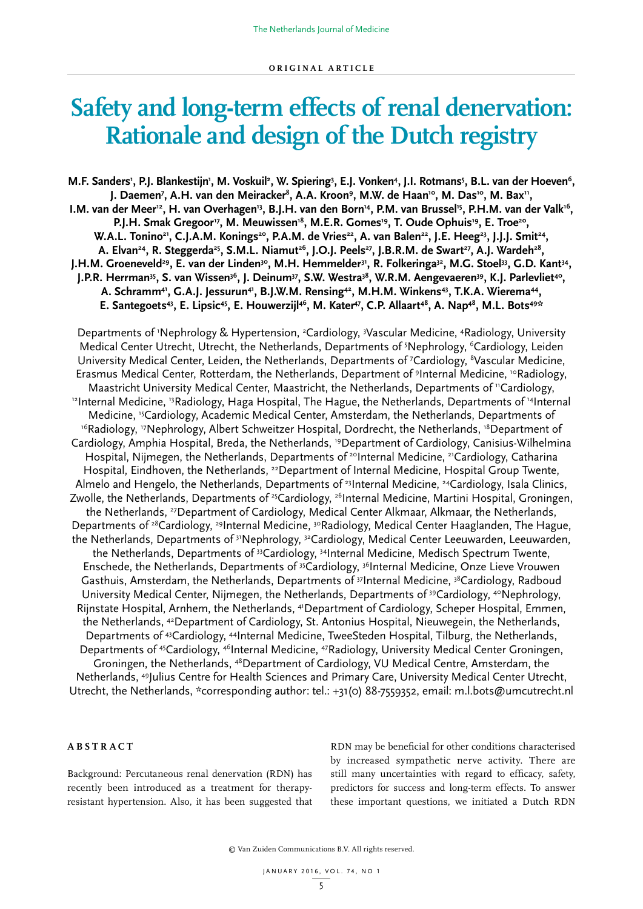# **Safety and long-term effects of renal denervation: Rationale and design of the Dutch registry**

M.F. Sanders<sup>1</sup>, P.J. Blankestijn<sup>1</sup>, M. Voskuil<sup>2</sup>, W. Spiering<sup>3</sup>, E.J. Vonken<sup>4</sup>, J.I. Rotmans<sup>5</sup>, B.L. van der Hoeven<sup>6</sup>, **J. Daemen<sup>7</sup>, A.H. van den Meiracker** $^{\text{s}}$ **, A.A. Kroon** $^{\text{s}}$ **, M.W. de Haan'** $^{\text{o}}$ **, M. Das'** $^{\text{o}}$ **, M. Bax'', I.M. van der Meer<sup>12</sup>, H. van Overhagen<sup>13</sup>, B.J.H. van den Born<sup>14</sup>, P.M. van Brussel<sup>15</sup>, P.H.M. van der Valk<sup>16</sup>,** P.J.H. Smak Gregoor<sup>17</sup>, M. Meuwissen<sup>18</sup>, M.E.R. Gomes<sup>19</sup>, T. Oude Ophuis<sup>19</sup>, E. Troe<sup>20</sup>, W.A.L. Tonino<sup>21</sup>, C.J.A.M. Konings<sup>20</sup>, P.A.M. de Vries<sup>22</sup>, A. van Balen<sup>22</sup>, J.E. Heeg<sup>23</sup>, J.J.J. Smit<sup>24</sup>, A. Elvan<sup>24</sup>, R. Steggerda<sup>25</sup>, S.M.L. Niamut<sup>26</sup>, J.O.J. Peels<sup>27</sup>, J.B.R.M. de Swart<sup>27</sup>, A.J. Wardeh<sup>28</sup>, **J.H.M. Groeneveld<sup>29</sup>, E. van der Linden<sup>30</sup>, M.H. Hemmelder<sup>31</sup>, R. Folkeringa<sup>32</sup>, M.G. Stoel<sup>33</sup>, G.D. Kant<sup>34</sup>,** J.P.R. Herrman<sup>35</sup>, S. van Wissen<sup>36</sup>, J. Deinum<sup>37</sup>, S.W. Westra<sup>38</sup>, W.R.M. Aengevaeren<sup>39</sup>, K.J. Parlevliet<sup>40</sup>, A. Schramm<sup>41</sup>, G.A.J. Jessurun<sup>41</sup>, B.J.W.M. Rensing<sup>42</sup>, M.H.M. Winkens<sup>43</sup>, T.K.A. Wierema<sup>44</sup>, E. Santegoets<sup>43</sup>, E. Lipsic<sup>45</sup>, E. Houwerzijl<sup>46</sup>, M. Kater<sup>47</sup>, C.P. Allaart<sup>48</sup>, A. Nap<sup>48</sup>, M.L. Bots<sup>49\*</sup>

Departments of 'Nephrology & Hypertension, <sup>2</sup>Cardiology, <sup>3</sup>Vascular Medicine, <sup>4</sup>Radiology, University Medical Center Utrecht, Utrecht, the Netherlands, Departments of <sup>5</sup>Nephrology, <sup>6</sup>Cardiology, Leiden University Medical Center, Leiden, the Netherlands, Departments of <sup>7</sup>Cardiology, <sup>8</sup>Vascular Medicine, Erasmus Medical Center, Rotterdam, the Netherlands, Department of <sup>9</sup>Internal Medicine, <sup>10</sup>Radiology, Maastricht University Medical Center, Maastricht, the Netherlands, Departments of "Cardiology, 12Internal Medicine, <sup>13</sup>Radiology, Haga Hospital, The Hague, the Netherlands, Departments of <sup>14</sup>Internal Medicine, <sup>15</sup>Cardiology, Academic Medical Center, Amsterdam, the Netherlands, Departments of <sup>16</sup>Radiology, <sup>17</sup>Nephrology, Albert Schweitzer Hospital, Dordrecht, the Netherlands, <sup>18</sup>Department of Cardiology, Amphia Hospital, Breda, the Netherlands, 19Department of Cardiology, Canisius-Wilhelmina Hospital, Nijmegen, the Netherlands, Departments of <sup>20</sup>Internal Medicine, <sup>21</sup>Cardiology, Catharina Hospital, Eindhoven, the Netherlands, <sup>22</sup>Department of Internal Medicine, Hospital Group Twente, Almelo and Hengelo, the Netherlands, Departments of <sup>23</sup>Internal Medicine, <sup>24</sup>Cardiology, Isala Clinics, Zwolle, the Netherlands, Departments of <sup>25</sup>Cardiology, <sup>26</sup>Internal Medicine, Martini Hospital, Groningen, the Netherlands, <sup>27</sup>Department of Cardiology, Medical Center Alkmaar, Alkmaar, the Netherlands, Departments of <sup>28</sup>Cardiology, <sup>29</sup>Internal Medicine, <sup>30</sup>Radiology, Medical Center Haaglanden, The Hague, the Netherlands, Departments of <sup>31</sup>Nephrology, <sup>32</sup>Cardiology, Medical Center Leeuwarden, Leeuwarden, the Netherlands, Departments of <sup>33</sup>Cardiology, <sup>34</sup>Internal Medicine, Medisch Spectrum Twente, Enschede, the Netherlands, Departments of 35Cardiology, 36Internal Medicine, Onze Lieve Vrouwen Gasthuis, Amsterdam, the Netherlands, Departments of <sup>37</sup>Internal Medicine, <sup>38</sup>Cardiology, Radboud University Medical Center, Nijmegen, the Netherlands, Departments of <sup>39</sup>Cardiology, <sup>40</sup>Nephrology, Rijnstate Hospital, Arnhem, the Netherlands, 41Department of Cardiology, Scheper Hospital, Emmen, the Netherlands, 42Department of Cardiology, St. Antonius Hospital, Nieuwegein, the Netherlands, Departments of 43Cardiology, 44Internal Medicine, TweeSteden Hospital, Tilburg, the Netherlands, Departments of <sup>45</sup>Cardiology, <sup>46</sup>Internal Medicine, <sup>47</sup>Radiology, University Medical Center Groningen, Groningen, the Netherlands, <sup>48</sup>Department of Cardiology, VU Medical Centre, Amsterdam, the Netherlands, 49Julius Centre for Health Sciences and Primary Care, University Medical Center Utrecht, Utrecht, the Netherlands, \*corresponding author: tel.: +31(0) 88-7559352, email: m.l.bots@umcutrecht.nl

# **ABSTRACT**

Background: Percutaneous renal denervation (RDN) has recently been introduced as a treatment for therapyresistant hypertension. Also, it has been suggested that

RDN may be beneficial for other conditions characterised by increased sympathetic nerve activity. There are still many uncertainties with regard to efficacy, safety, predictors for success and long-term effects. To answer these important questions, we initiated a Dutch RDN

© Van Zuiden Communications B.V. All rights reserved.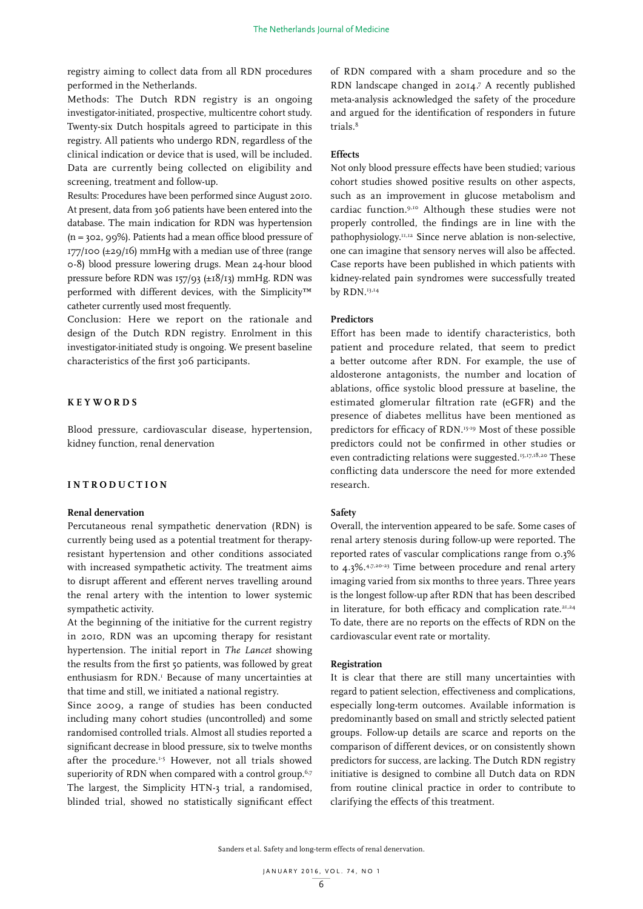registry aiming to collect data from all RDN procedures performed in the Netherlands.

Methods: The Dutch RDN registry is an ongoing investigator-initiated, prospective, multicentre cohort study. Twenty-six Dutch hospitals agreed to participate in this registry. All patients who undergo RDN, regardless of the clinical indication or device that is used, will be included. Data are currently being collected on eligibility and screening, treatment and follow-up.

Results: Procedures have been performed since August 2010. At present, data from 306 patients have been entered into the database. The main indication for RDN was hypertension (n = 302, 99%). Patients had a mean office blood pressure of  $177/100$  ( $\pm$ 29/16) mmHg with a median use of three (range 0-8) blood pressure lowering drugs. Mean 24-hour blood pressure before RDN was 157/93 (±18/13) mmHg. RDN was performed with different devices, with the Simplicity™ catheter currently used most frequently.

Conclusion: Here we report on the rationale and design of the Dutch RDN registry. Enrolment in this investigator-initiated study is ongoing. We present baseline characteristics of the first 306 participants.

## **KEYWORDS**

Blood pressure, cardiovascular disease, hypertension, kidney function, renal denervation

## **I N T R O D U C T I O N**

#### **Renal denervation**

Percutaneous renal sympathetic denervation (RDN) is currently being used as a potential treatment for therapyresistant hypertension and other conditions associated with increased sympathetic activity. The treatment aims to disrupt afferent and efferent nerves travelling around the renal artery with the intention to lower systemic sympathetic activity.

At the beginning of the initiative for the current registry in 2010, RDN was an upcoming therapy for resistant hypertension. The initial report in *The Lancet* showing the results from the first 50 patients, was followed by great enthusiasm for RDN.<sup>1</sup> Because of many uncertainties at that time and still, we initiated a national registry.

Since 2009, a range of studies has been conducted including many cohort studies (uncontrolled) and some randomised controlled trials. Almost all studies reported a significant decrease in blood pressure, six to twelve months after the procedure.<sup>1-5</sup> However, not all trials showed superiority of RDN when compared with a control group.<sup>6,7</sup> The largest, the Simplicity HTN-3 trial, a randomised, blinded trial, showed no statistically significant effect of RDN compared with a sham procedure and so the RDN landscape changed in 2014.7 A recently published meta-analysis acknowledged the safety of the procedure and argued for the identification of responders in future trials.<sup>8</sup>

## **Effects**

Not only blood pressure effects have been studied; various cohort studies showed positive results on other aspects, such as an improvement in glucose metabolism and cardiac function.9,10 Although these studies were not properly controlled, the findings are in line with the pathophysiology.11,12 Since nerve ablation is non-selective, one can imagine that sensory nerves will also be affected. Case reports have been published in which patients with kidney-related pain syndromes were successfully treated by RDN.<sup>13,14</sup>

## **Predictors**

Effort has been made to identify characteristics, both patient and procedure related, that seem to predict a better outcome after RDN. For example, the use of aldosterone antagonists, the number and location of ablations, office systolic blood pressure at baseline, the estimated glomerular filtration rate (eGFR) and the presence of diabetes mellitus have been mentioned as predictors for efficacy of RDN.15-19 Most of these possible predictors could not be confirmed in other studies or even contradicting relations were suggested.<sup>15,17,18,20</sup> These conflicting data underscore the need for more extended research.

## **Safety**

Overall, the intervention appeared to be safe. Some cases of renal artery stenosis during follow-up were reported. The reported rates of vascular complications range from 0.3% to 4.3%.4,7,20-23 Time between procedure and renal artery imaging varied from six months to three years. Three years is the longest follow-up after RDN that has been described in literature, for both efficacy and complication rate.<sup>21,24</sup> To date, there are no reports on the effects of RDN on the cardiovascular event rate or mortality.

#### **Registration**

It is clear that there are still many uncertainties with regard to patient selection, effectiveness and complications, especially long-term outcomes. Available information is predominantly based on small and strictly selected patient groups. Follow-up details are scarce and reports on the comparison of different devices, or on consistently shown predictors for success, are lacking. The Dutch RDN registry initiative is designed to combine all Dutch data on RDN from routine clinical practice in order to contribute to clarifying the effects of this treatment.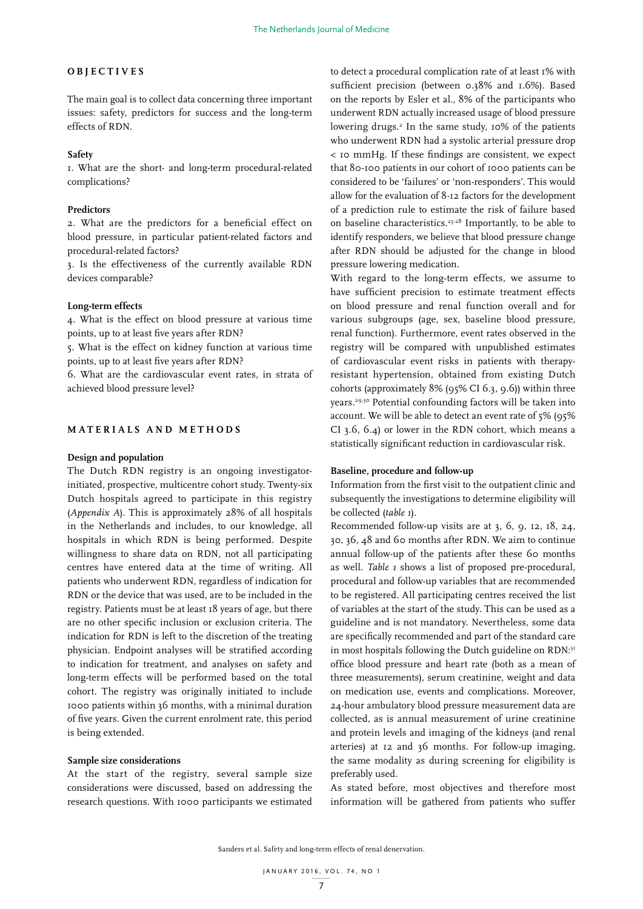# **O B J E C T I V E S**

The main goal is to collect data concerning three important issues: safety, predictors for success and the long-term effects of RDN.

#### **Safety**

1. What are the short- and long-term procedural-related complications?

## **Predictors**

2. What are the predictors for a beneficial effect on blood pressure, in particular patient-related factors and procedural-related factors?

3. Is the effectiveness of the currently available RDN devices comparable?

## **Long-term effects**

4. What is the effect on blood pressure at various time points, up to at least five years after RDN?

5. What is the effect on kidney function at various time points, up to at least five years after RDN?

6. What are the cardiovascular event rates, in strata of achieved blood pressure level?

## **M A T E R I A L S A N D M E T H O D S**

#### **Design and population**

The Dutch RDN registry is an ongoing investigatorinitiated, prospective, multicentre cohort study. Twenty-six Dutch hospitals agreed to participate in this registry (*Appendix A*). This is approximately 28% of all hospitals in the Netherlands and includes, to our knowledge, all hospitals in which RDN is being performed. Despite willingness to share data on RDN, not all participating centres have entered data at the time of writing. All patients who underwent RDN, regardless of indication for RDN or the device that was used, are to be included in the registry. Patients must be at least 18 years of age, but there are no other specific inclusion or exclusion criteria. The indication for RDN is left to the discretion of the treating physician. Endpoint analyses will be stratified according to indication for treatment, and analyses on safety and long-term effects will be performed based on the total cohort. The registry was originally initiated to include 1000 patients within 36 months, with a minimal duration of five years. Given the current enrolment rate, this period is being extended.

## **Sample size considerations**

At the start of the registry, several sample size considerations were discussed, based on addressing the research questions. With 1000 participants we estimated to detect a procedural complication rate of at least 1% with sufficient precision (between 0.38% and 1.6%). Based on the reports by Esler et al., 8% of the participants who underwent RDN actually increased usage of blood pressure lowering drugs.<sup>2</sup> In the same study, 10% of the patients who underwent RDN had a systolic arterial pressure drop < 10 mmHg. If these findings are consistent, we expect that 80-100 patients in our cohort of 1000 patients can be considered to be 'failures' or 'non-responders'. This would allow for the evaluation of 8-12 factors for the development of a prediction rule to estimate the risk of failure based on baseline characteristics.<sup>25-28</sup> Importantly, to be able to identify responders, we believe that blood pressure change after RDN should be adjusted for the change in blood pressure lowering medication.

With regard to the long-term effects, we assume to have sufficient precision to estimate treatment effects on blood pressure and renal function overall and for various subgroups (age, sex, baseline blood pressure, renal function). Furthermore, event rates observed in the registry will be compared with unpublished estimates of cardiovascular event risks in patients with therapyresistant hypertension, obtained from existing Dutch cohorts (approximately 8% (95% CI 6.3, 9.6)) within three years.29,30 Potential confounding factors will be taken into account. We will be able to detect an event rate of 5% (95% CI 3.6, 6.4) or lower in the RDN cohort, which means a statistically significant reduction in cardiovascular risk.

#### **Baseline, procedure and follow-up**

Information from the first visit to the outpatient clinic and subsequently the investigations to determine eligibility will be collected (*table 1*).

Recommended follow-up visits are at 3, 6, 9, 12, 18, 24, 30, 36, 48 and 60 months after RDN. We aim to continue annual follow-up of the patients after these 60 months as well. *Table 1* shows a list of proposed pre-procedural, procedural and follow-up variables that are recommended to be registered. All participating centres received the list of variables at the start of the study. This can be used as a guideline and is not mandatory. Nevertheless, some data are specifically recommended and part of the standard care in most hospitals following the Dutch guideline on RDN:31 office blood pressure and heart rate (both as a mean of three measurements), serum creatinine, weight and data on medication use, events and complications. Moreover, 24-hour ambulatory blood pressure measurement data are collected, as is annual measurement of urine creatinine and protein levels and imaging of the kidneys (and renal arteries) at 12 and 36 months. For follow-up imaging, the same modality as during screening for eligibility is preferably used.

As stated before, most objectives and therefore most information will be gathered from patients who suffer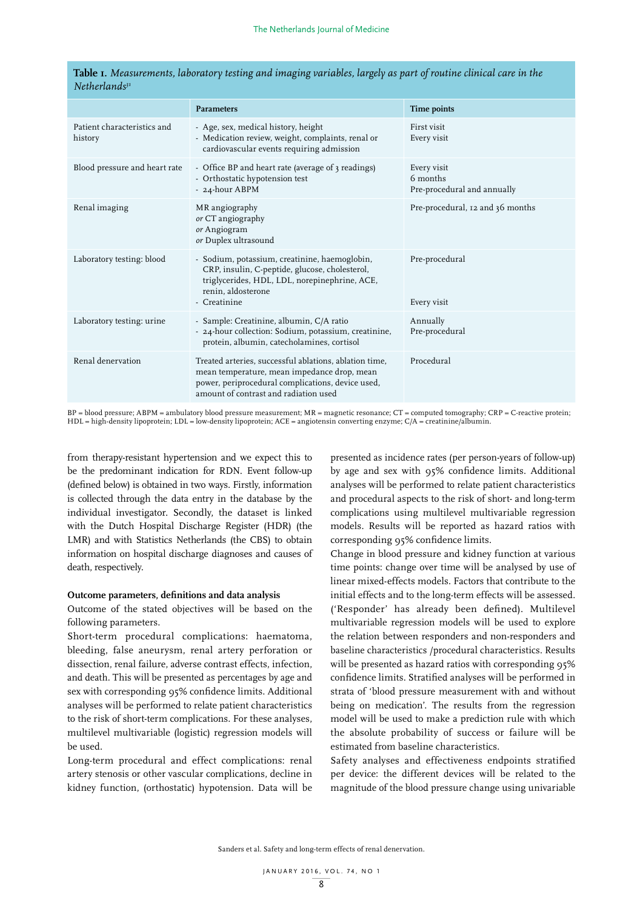|                                        | <b>Parameters</b>                                                                                                                                                                                   | Time points                                            |
|----------------------------------------|-----------------------------------------------------------------------------------------------------------------------------------------------------------------------------------------------------|--------------------------------------------------------|
| Patient characteristics and<br>history | - Age, sex, medical history, height<br>- Medication review, weight, complaints, renal or<br>cardiovascular events requiring admission                                                               | First visit<br>Every visit                             |
| Blood pressure and heart rate          | - Office BP and heart rate (average of 3 readings)<br>- Orthostatic hypotension test<br>- 24-hour ABPM                                                                                              | Every visit<br>6 months<br>Pre-procedural and annually |
| Renal imaging                          | MR angiography<br>or CT angiography<br>or Angiogram<br>or Duplex ultrasound                                                                                                                         | Pre-procedural, 12 and 36 months                       |
| Laboratory testing: blood              | - Sodium, potassium, creatinine, haemoglobin,<br>CRP, insulin, C-peptide, glucose, cholesterol,<br>triglycerides, HDL, LDL, norepinephrine, ACE,<br>renin, aldosterone<br>- Creatinine              | Pre-procedural<br>Every visit                          |
| Laboratory testing: urine              | - Sample: Creatinine, albumin, C/A ratio<br>- 24-hour collection: Sodium, potassium, creatinine,<br>protein, albumin, catecholamines, cortisol                                                      | Annually<br>Pre-procedural                             |
| Renal denervation                      | Treated arteries, successful ablations, ablation time,<br>mean temperature, mean impedance drop, mean<br>power, periprocedural complications, device used,<br>amount of contrast and radiation used | Procedural                                             |

**Table 1.** *Measurements, laboratory testing and imaging variables, largely as part of routine clinical care in the Netherlands31*

BP = blood pressure; ABPM = ambulatory blood pressure measurement; MR = magnetic resonance; CT = computed tomography; CRP = C-reactive protein; HDL = high-density lipoprotein; LDL = low-density lipoprotein; ACE = angiotensin converting enzyme; C/A = creatinine/albumin.

from therapy-resistant hypertension and we expect this to be the predominant indication for RDN. Event follow-up (defined below) is obtained in two ways. Firstly, information is collected through the data entry in the database by the individual investigator. Secondly, the dataset is linked with the Dutch Hospital Discharge Register (HDR) (the LMR) and with Statistics Netherlands (the CBS) to obtain information on hospital discharge diagnoses and causes of death, respectively.

## **Outcome parameters, definitions and data analysis**

Outcome of the stated objectives will be based on the following parameters.

Short-term procedural complications: haematoma, bleeding, false aneurysm, renal artery perforation or dissection, renal failure, adverse contrast effects, infection, and death. This will be presented as percentages by age and sex with corresponding 95% confidence limits. Additional analyses will be performed to relate patient characteristics to the risk of short-term complications. For these analyses, multilevel multivariable (logistic) regression models will be used.

Long-term procedural and effect complications: renal artery stenosis or other vascular complications, decline in kidney function, (orthostatic) hypotension. Data will be presented as incidence rates (per person-years of follow-up) by age and sex with 95% confidence limits. Additional analyses will be performed to relate patient characteristics and procedural aspects to the risk of short- and long-term complications using multilevel multivariable regression models. Results will be reported as hazard ratios with corresponding 95% confidence limits.

Change in blood pressure and kidney function at various time points: change over time will be analysed by use of linear mixed-effects models. Factors that contribute to the initial effects and to the long-term effects will be assessed. ('Responder' has already been defined). Multilevel multivariable regression models will be used to explore the relation between responders and non-responders and baseline characteristics /procedural characteristics. Results will be presented as hazard ratios with corresponding 95% confidence limits. Stratified analyses will be performed in strata of 'blood pressure measurement with and without being on medication'. The results from the regression model will be used to make a prediction rule with which the absolute probability of success or failure will be estimated from baseline characteristics.

Safety analyses and effectiveness endpoints stratified per device: the different devices will be related to the magnitude of the blood pressure change using univariable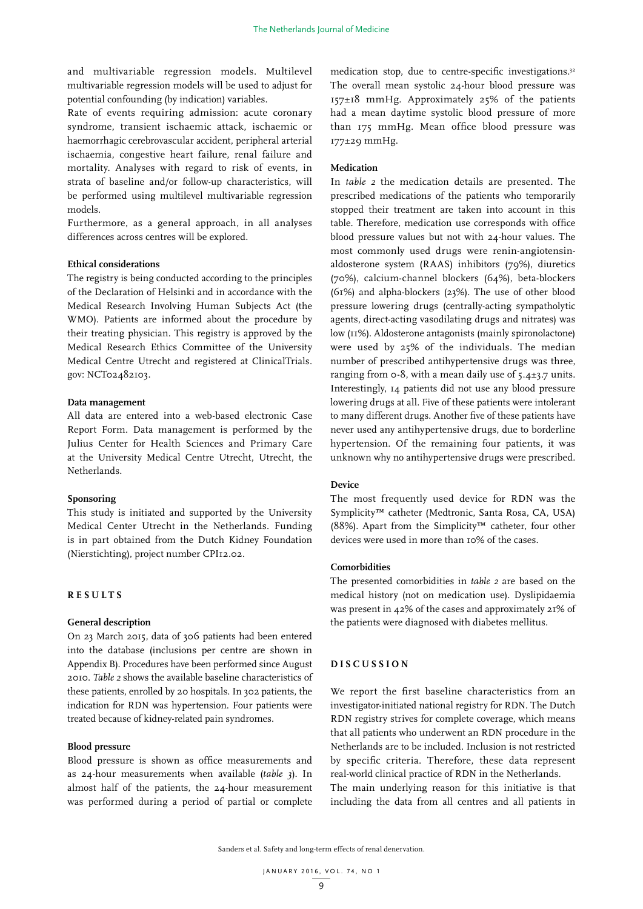and multivariable regression models. Multilevel multivariable regression models will be used to adjust for potential confounding (by indication) variables.

Rate of events requiring admission: acute coronary syndrome, transient ischaemic attack, ischaemic or haemorrhagic cerebrovascular accident, peripheral arterial ischaemia, congestive heart failure, renal failure and mortality. Analyses with regard to risk of events, in strata of baseline and/or follow-up characteristics, will be performed using multilevel multivariable regression models.

Furthermore, as a general approach, in all analyses differences across centres will be explored.

## **Ethical considerations**

The registry is being conducted according to the principles of the Declaration of Helsinki and in accordance with the Medical Research Involving Human Subjects Act (the WMO). Patients are informed about the procedure by their treating physician. This registry is approved by the Medical Research Ethics Committee of the University Medical Centre Utrecht and registered at ClinicalTrials. gov: NCT02482103.

#### **Data management**

All data are entered into a web-based electronic Case Report Form. Data management is performed by the Julius Center for Health Sciences and Primary Care at the University Medical Centre Utrecht, Utrecht, the Netherlands.

#### **Sponsoring**

This study is initiated and supported by the University Medical Center Utrecht in the Netherlands. Funding is in part obtained from the Dutch Kidney Foundation (Nierstichting), project number CPI12.02.

## **R E S U L T S**

## **General description**

On 23 March 2015, data of 306 patients had been entered into the database (inclusions per centre are shown in Appendix B). Procedures have been performed since August 2010. *Table 2* shows the available baseline characteristics of these patients, enrolled by 20 hospitals. In 302 patients, the indication for RDN was hypertension. Four patients were treated because of kidney-related pain syndromes.

#### **Blood pressure**

Blood pressure is shown as office measurements and as 24-hour measurements when available (*table 3*). In almost half of the patients, the 24-hour measurement was performed during a period of partial or complete

medication stop, due to centre-specific investigations.<sup>32</sup> The overall mean systolic 24-hour blood pressure was 157±18 mmHg. Approximately 25% of the patients had a mean daytime systolic blood pressure of more than 175 mmHg. Mean office blood pressure was 177±29 mmHg.

#### **Medication**

In *table 2* the medication details are presented. The prescribed medications of the patients who temporarily stopped their treatment are taken into account in this table. Therefore, medication use corresponds with office blood pressure values but not with 24-hour values. The most commonly used drugs were renin-angiotensinaldosterone system (RAAS) inhibitors (79%), diuretics (70%), calcium-channel blockers (64%), beta-blockers (61%) and alpha-blockers (23%). The use of other blood pressure lowering drugs (centrally-acting sympatholytic agents, direct-acting vasodilating drugs and nitrates) was low (11%). Aldosterone antagonists (mainly spironolactone) were used by 25% of the individuals. The median number of prescribed antihypertensive drugs was three, ranging from  $\circ$ -8, with a mean daily use of  $5.4\pm3.7$  units. Interestingly, 14 patients did not use any blood pressure lowering drugs at all. Five of these patients were intolerant to many different drugs. Another five of these patients have never used any antihypertensive drugs, due to borderline hypertension. Of the remaining four patients, it was unknown why no antihypertensive drugs were prescribed.

## **Device**

The most frequently used device for RDN was the Symplicity™ catheter (Medtronic, Santa Rosa, CA, USA) (88%). Apart from the Simplicity™ catheter, four other devices were used in more than 10% of the cases.

## **Comorbidities**

The presented comorbidities in *table 2* are based on the medical history (not on medication use). Dyslipidaemia was present in 42% of the cases and approximately 21% of the patients were diagnosed with diabetes mellitus.

## **DISCUSSION**

We report the first baseline characteristics from an investigator-initiated national registry for RDN. The Dutch RDN registry strives for complete coverage, which means that all patients who underwent an RDN procedure in the Netherlands are to be included. Inclusion is not restricted by specific criteria. Therefore, these data represent real-world clinical practice of RDN in the Netherlands. The main underlying reason for this initiative is that including the data from all centres and all patients in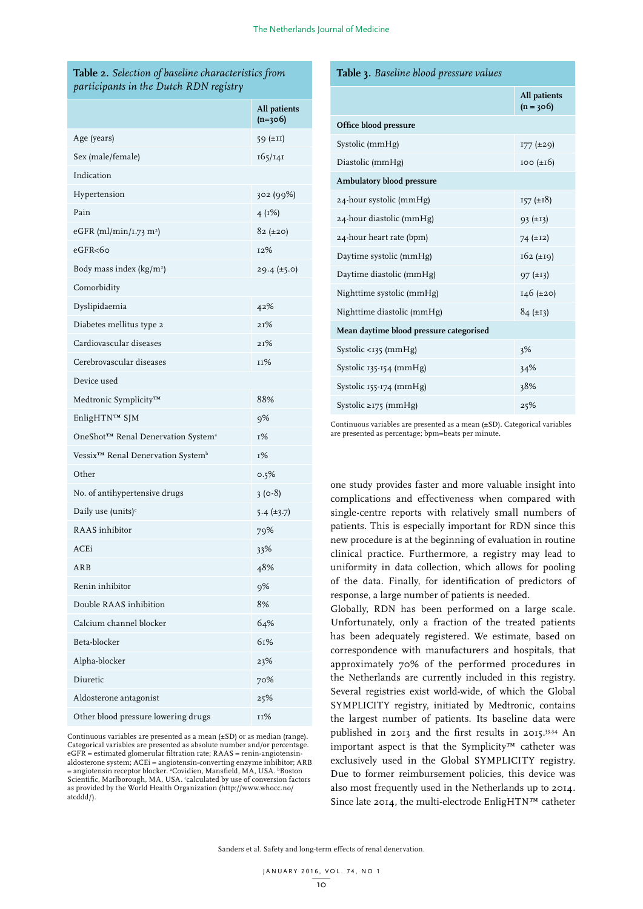# **Table 2.** *Selection of baseline characteristics from participants in the Dutch RDN registry*

|                                                | All patients<br>$(n=306)$ |
|------------------------------------------------|---------------------------|
| Age (years)                                    | 59 $(\pm 11)$             |
| Sex (male/female)                              | 165/141                   |
| Indication                                     |                           |
| Hypertension                                   | 302 (99%)                 |
| Pain                                           | 4(1%)                     |
| eGFR (ml/min/1.73 m <sup>2</sup> )             | $82 \ (\pm 20)$           |
| eGFR<60                                        | 12%                       |
| Body mass index ( $\text{kg/m}^2$ )            | $29.4 \ (\pm 5.0)$        |
| Comorbidity                                    |                           |
| Dyslipidaemia                                  | 42%                       |
| Diabetes mellitus type 2                       | 21%                       |
| Cardiovascular diseases                        | 21%                       |
| Cerebrovascular diseases                       | 11%                       |
| Device used                                    |                           |
| Medtronic Symplicity™                          | 88%                       |
| EnligHTN™ SJM                                  | 9%                        |
| OneShot™ Renal Denervation System <sup>a</sup> | 1%                        |
| Vessix™ Renal Denervation System <sup>b</sup>  | 1%                        |
| Other                                          | 0.5%                      |
| No. of antihypertensive drugs                  | $3(0-8)$                  |
| Daily use (units) <sup>c</sup>                 | $5.4 (\pm 3.7)$           |
| RAAS inhibitor                                 | 79%                       |
| ACEi                                           | 33%                       |
| ARB                                            | 48%                       |
| Renin inhibitor                                | 9%                        |
| Double RAAS inhibition                         | 8%                        |
| Calcium channel blocker                        | 64%                       |
| Beta-blocker                                   | 61%                       |
| Alpha-blocker                                  | 23%                       |
| Diuretic                                       | 70%                       |
| Aldosterone antagonist                         | 25%                       |
| Other blood pressure lowering drugs            | 11%                       |

Continuous variables are presented as a mean (±SD) or as median (range). Categorical variables are presented as absolute number and/or percentage.  $e$ GFR = estimated glomerular filtration rate; RAAS = renin-angiotensinaldosterone system; ACEi = angiotensin-converting enzyme inhibitor; ARB<br>= angiotensin receptor blocker. \*Covidien, Mansfield, MA, USA. <sup>ь</sup>Boston Scientific, Marlborough, MA, USA. 'calculated by use of conversion factors as provided by the World Health Organization (http://www.whocc.no/ atcddd/).

## **Table 3.** *Baseline blood pressure values*

|                                         | All patients<br>$(n = 306)$ |  |  |
|-----------------------------------------|-----------------------------|--|--|
| Office blood pressure                   |                             |  |  |
| Systolic (mmHg)                         | $177 (\pm 29)$              |  |  |
| Diastolic (mmHg)                        | $100 \left(\pm 16\right)$   |  |  |
| Ambulatory blood pressure               |                             |  |  |
| 24-hour systolic (mmHg)                 | $157 \ (\pm 18)$            |  |  |
| 24-hour diastolic (mmHg)                | 93 (±13)                    |  |  |
| 24-hour heart rate (bpm)                | 74 $(±12)$                  |  |  |
| Daytime systolic (mmHg)                 | $162 \ (\pm 19)$            |  |  |
| Daytime diastolic (mmHg)                | $97 \, (\pm 13)$            |  |  |
| Nighttime systolic (mmHg)               | $146$ (±20)                 |  |  |
| Nighttime diastolic (mmHg)              | $84 \ (\pm 13)$             |  |  |
| Mean daytime blood pressure categorised |                             |  |  |
| Systolic $\langle$ 135 (mmHg)           | 3%                          |  |  |
| Systolic $135-154$ (mmHg)               | 34%                         |  |  |
| Systolic $155-174$ (mmHg)               | 38%                         |  |  |
| Systolic $\geq$ 175 (mmHg)              | 25%                         |  |  |

Continuous variables are presented as a mean (±SD). Categorical variables are presented as percentage; bpm=beats per minute.

one study provides faster and more valuable insight into complications and effectiveness when compared with single-centre reports with relatively small numbers of patients. This is especially important for RDN since this new procedure is at the beginning of evaluation in routine clinical practice. Furthermore, a registry may lead to uniformity in data collection, which allows for pooling of the data. Finally, for identification of predictors of response, a large number of patients is needed.

Globally, RDN has been performed on a large scale. Unfortunately, only a fraction of the treated patients has been adequately registered. We estimate, based on correspondence with manufacturers and hospitals, that approximately 70% of the performed procedures in the Netherlands are currently included in this registry. Several registries exist world-wide, of which the Global SYMPLICITY registry, initiated by Medtronic, contains the largest number of patients. Its baseline data were published in 2013 and the first results in 2015.33,34 An important aspect is that the Symplicity™ catheter was exclusively used in the Global SYMPLICITY registry. Due to former reimbursement policies, this device was also most frequently used in the Netherlands up to 2014. Since late 2014, the multi-electrode EnligHTN™ catheter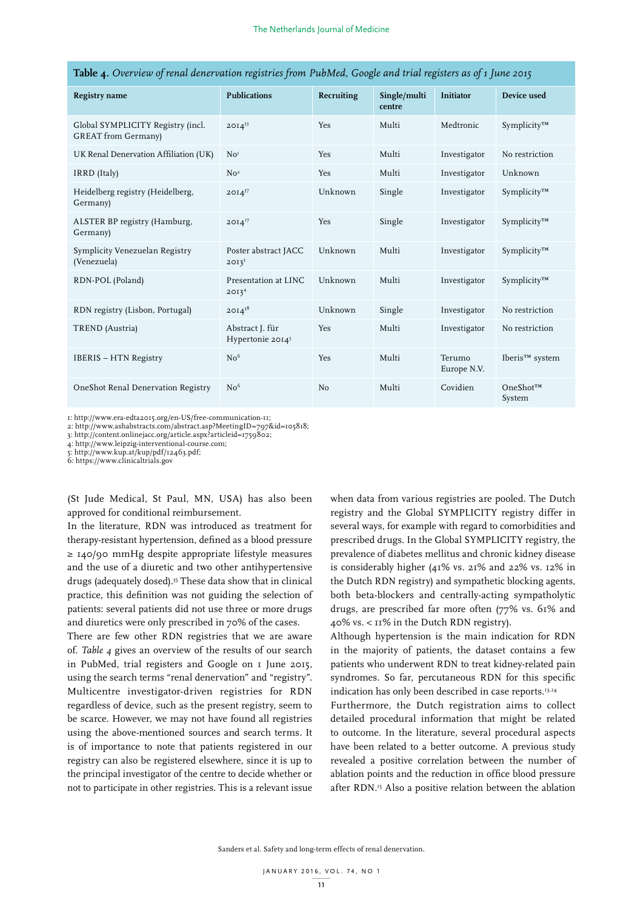| Registry name                                                   | <b>Publications</b>                             | Recruiting | Single/multi<br>centre | Initiator             | Device used                 |
|-----------------------------------------------------------------|-------------------------------------------------|------------|------------------------|-----------------------|-----------------------------|
| Global SYMPLICITY Registry (incl.<br><b>GREAT</b> from Germany) | $20I4^{33}$                                     | <b>Yes</b> | Multi                  | Medtronic             | Symplicity™                 |
| UK Renal Denervation Affiliation (UK)                           | No <sup>I</sup>                                 | <b>Yes</b> | Multi                  | Investigator          | No restriction              |
| IRRD (Italy)                                                    | No <sup>2</sup>                                 | Yes        | Multi                  | Investigator          | Unknown                     |
| Heidelberg registry (Heidelberg,<br>Germany)                    | $20I4^{37}$                                     | Unknown    | Single                 | Investigator          | Symplicity™                 |
| ALSTER BP registry (Hamburg,<br>Germany)                        | $20I4^{17}$                                     | Yes        | Single                 | Investigator          | Symplicity™                 |
| Symplicity Venezuelan Registry<br>(Venezuela)                   | Poster abstract JACC<br>$20I3^3$                | Unknown    | Multi                  | Investigator          | Symplicity™                 |
| RDN-POL (Poland)                                                | Presentation at LINC<br>20I3 <sup>4</sup>       | Unknown    | Multi                  | Investigator          | Symplicity™                 |
| RDN registry (Lisbon, Portugal)                                 | $20I4^{38}$                                     | Unknown    | Single                 | Investigator          | No restriction              |
| TREND (Austria)                                                 | Abstract J. für<br>Hypertonie 2014 <sup>5</sup> | Yes        | Multi                  | Investigator          | No restriction              |
| <b>IBERIS - HTN Registry</b>                                    | No <sup>6</sup>                                 | <b>Yes</b> | Multi                  | Terumo<br>Europe N.V. | Iberis <sup>TM</sup> system |
| OneShot Renal Denervation Registry                              | No <sup>6</sup>                                 | No         | Multi                  | Covidien              | $OneShort^{TM}$<br>System   |

|  |  |  |  | <b>Table 4.</b> Overview of renal denervation registries from PubMed, Google and trial registers as of 1 June 2015 |  |  |
|--|--|--|--|--------------------------------------------------------------------------------------------------------------------|--|--|
|  |  |  |  |                                                                                                                    |  |  |

1: http://www.era-edta2015.org/en-US/free-communication-11;

2: http://www.ashabstracts.com/abstract.asp?MeetingID=797&id=105818;

3: http://content.onlinejacc.org/article.aspx?articleid=1759802;

4: http://www.leipzig-interventional-course.com; 5: http://www.kup.at/kup/pdf/12463.pdf;

6: https://www.clinicaltrials.gov

(St Jude Medical, St Paul, MN, USA) has also been

approved for conditional reimbursement. In the literature, RDN was introduced as treatment for therapy-resistant hypertension, defined as a blood pressure ≥ 140/90 mmHg despite appropriate lifestyle measures and the use of a diuretic and two other antihypertensive drugs (adequately dosed).35 These data show that in clinical practice, this definition was not guiding the selection of patients: several patients did not use three or more drugs and diuretics were only prescribed in 70% of the cases.

There are few other RDN registries that we are aware of. *Table 4* gives an overview of the results of our search in PubMed, trial registers and Google on 1 June 2015, using the search terms "renal denervation" and "registry". Multicentre investigator-driven registries for RDN regardless of device, such as the present registry, seem to be scarce. However, we may not have found all registries using the above-mentioned sources and search terms. It is of importance to note that patients registered in our registry can also be registered elsewhere, since it is up to the principal investigator of the centre to decide whether or not to participate in other registries. This is a relevant issue

when data from various registries are pooled. The Dutch registry and the Global SYMPLICITY registry differ in several ways, for example with regard to comorbidities and prescribed drugs. In the Global SYMPLICITY registry, the prevalence of diabetes mellitus and chronic kidney disease is considerably higher (41% vs. 21% and 22% vs. 12% in the Dutch RDN registry) and sympathetic blocking agents, both beta-blockers and centrally-acting sympatholytic drugs, are prescribed far more often (77% vs. 61% and 40% vs. < 11% in the Dutch RDN registry).

Although hypertension is the main indication for RDN in the majority of patients, the dataset contains a few patients who underwent RDN to treat kidney-related pain syndromes. So far, percutaneous RDN for this specific indication has only been described in case reports.<sup>13,14</sup>

Furthermore, the Dutch registration aims to collect detailed procedural information that might be related to outcome. In the literature, several procedural aspects have been related to a better outcome. A previous study revealed a positive correlation between the number of ablation points and the reduction in office blood pressure after RDN.15 Also a positive relation between the ablation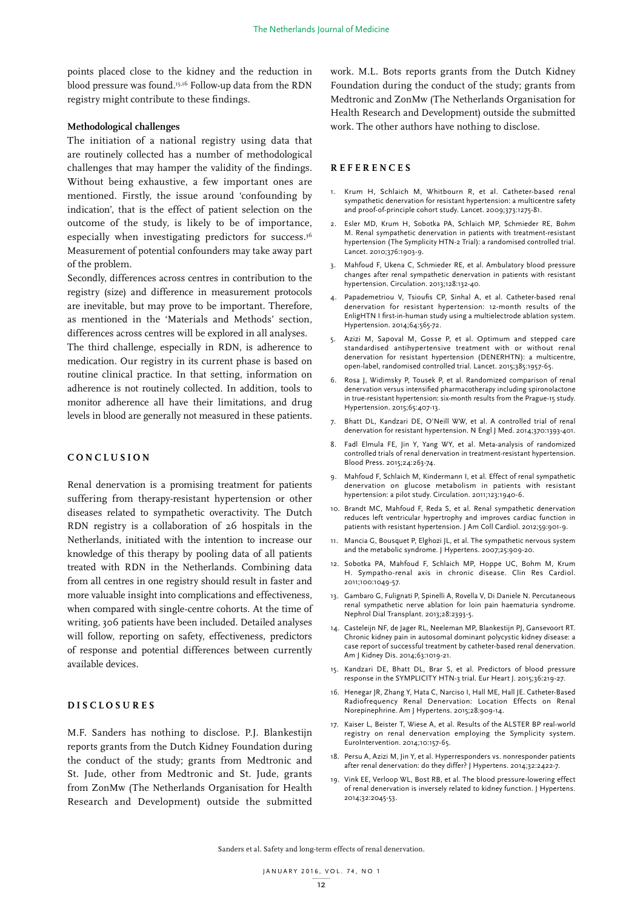points placed close to the kidney and the reduction in blood pressure was found.<sup>15,16</sup> Follow-up data from the RDN registry might contribute to these findings.

## **Methodological challenges**

The initiation of a national registry using data that are routinely collected has a number of methodological challenges that may hamper the validity of the findings. Without being exhaustive, a few important ones are mentioned. Firstly, the issue around 'confounding by indication', that is the effect of patient selection on the outcome of the study, is likely to be of importance, especially when investigating predictors for success.<sup>36</sup> Measurement of potential confounders may take away part of the problem.

Secondly, differences across centres in contribution to the registry (size) and difference in measurement protocols are inevitable, but may prove to be important. Therefore, as mentioned in the 'Materials and Methods' section, differences across centres will be explored in all analyses.

The third challenge, especially in RDN, is adherence to medication. Our registry in its current phase is based on routine clinical practice. In that setting, information on adherence is not routinely collected. In addition, tools to monitor adherence all have their limitations, and drug levels in blood are generally not measured in these patients.

## **CONCLUSION**

Renal denervation is a promising treatment for patients suffering from therapy-resistant hypertension or other diseases related to sympathetic overactivity. The Dutch RDN registry is a collaboration of 26 hospitals in the Netherlands, initiated with the intention to increase our knowledge of this therapy by pooling data of all patients treated with RDN in the Netherlands. Combining data from all centres in one registry should result in faster and more valuable insight into complications and effectiveness, when compared with single-centre cohorts. At the time of writing, 306 patients have been included. Detailed analyses will follow, reporting on safety, effectiveness, predictors of response and potential differences between currently available devices.

# **DISCLOSURES**

M.F. Sanders has nothing to disclose. P.J. Blankestijn reports grants from the Dutch Kidney Foundation during the conduct of the study; grants from Medtronic and St. Jude, other from Medtronic and St. Jude, grants from ZonMw (The Netherlands Organisation for Health Research and Development) outside the submitted work. M.L. Bots reports grants from the Dutch Kidney Foundation during the conduct of the study; grants from Medtronic and ZonMw (The Netherlands Organisation for Health Research and Development) outside the submitted work. The other authors have nothing to disclose.

#### **REFERENCES**

- 1. Krum H, Schlaich M, Whitbourn R, et al. Catheter-based renal sympathetic denervation for resistant hypertension: a multicentre safety and proof-of-principle cohort study. Lancet. 2009;373:1275-81.
- 2. Esler MD, Krum H, Sobotka PA, Schlaich MP, Schmieder RE, Bohm M. Renal sympathetic denervation in patients with treatment-resistant hypertension (The Symplicity HTN-2 Trial): a randomised controlled trial. Lancet. 2010;376:1903-9.
- 3. Mahfoud F, Ukena C, Schmieder RE, et al. Ambulatory blood pressure changes after renal sympathetic denervation in patients with resistant hypertension. Circulation. 2013;128:132-40.
- 4. Papademetriou V, Tsioufis CP, Sinhal A, et al. Catheter-based renal denervation for resistant hypertension: 12-month results of the EnligHTN I first-in-human study using a multielectrode ablation system. Hypertension. 2014;64:565-72.
- 5. Azizi M, Sapoval M, Gosse P, et al. Optimum and stepped care standardised antihypertensive treatment with or without renal denervation for resistant hypertension (DENERHTN): a multicentre, open-label, randomised controlled trial. Lancet. 2015;385:1957-65.
- 6. Rosa J, Widimsky P, Tousek P, et al. Randomized comparison of renal denervation versus intensified pharmacotherapy including spironolactone in true-resistant hypertension: six-month results from the Prague-15 study. Hypertension. 2015;65:407-13.
- 7. Bhatt DL, Kandzari DE, O'Neill WW, et al. A controlled trial of renal denervation for resistant hypertension. N Engl J Med. 2014;370:1393-401.
- 8. Fadl Elmula FE, Jin Y, Yang WY, et al. Meta-analysis of randomized controlled trials of renal denervation in treatment-resistant hypertension. Blood Press. 2015;24:263-74.
- 9. Mahfoud F, Schlaich M, Kindermann I, et al. Effect of renal sympathetic denervation on glucose metabolism in patients with resistant hypertension: a pilot study. Circulation. 2011;123:1940-6.
- 10. Brandt MC, Mahfoud F, Reda S, et al. Renal sympathetic denervation reduces left ventricular hypertrophy and improves cardiac function in patients with resistant hypertension. J Am Coll Cardiol. 2012;59:901-9.
- 11. Mancia G, Bousquet P, Elghozi JL, et al. The sympathetic nervous system and the metabolic syndrome. J Hypertens. 2007;25:909-20.
- 12. Sobotka PA, Mahfoud F, Schlaich MP, Hoppe UC, Bohm M, Krum H. Sympatho-renal axis in chronic disease. Clin Res Cardiol. 2011;100:1049-57.
- 13. Gambaro G, Fulignati P, Spinelli A, Rovella V, Di Daniele N. Percutaneous renal sympathetic nerve ablation for loin pain haematuria syndrome. Nephrol Dial Transplant. 2013;28:2393-5.
- 14. Casteleijn NF, de Jager RL, Neeleman MP, Blankestijn PJ, Gansevoort RT. Chronic kidney pain in autosomal dominant polycystic kidney disease: a case report of successful treatment by catheter-based renal denervation. Am J Kidney Dis. 2014;63:1019-21.
- 15. Kandzari DE, Bhatt DL, Brar S, et al. Predictors of blood pressure response in the SYMPLICITY HTN-3 trial. Eur Heart J. 2015;36:219-27.
- 16. Henegar JR, Zhang Y, Hata C, Narciso I, Hall ME, Hall JE. Catheter-Based Radiofrequency Renal Denervation: Location Effects on Renal Norepinephrine. Am J Hypertens. 2015;28:909-14.
- 17. Kaiser L, Beister T, Wiese A, et al. Results of the ALSTER BP real-world registry on renal denervation employing the Symplicity system. EuroIntervention. 2014;10:157-65.
- 18. Persu A, Azizi M, Jin Y, et al. Hyperresponders vs. nonresponder patients after renal denervation: do they differ? J Hypertens. 2014;32:2422-7.
- 19. Vink EE, Verloop WL, Bost RB, et al. The blood pressure-lowering effect of renal denervation is inversely related to kidney function. J Hypertens. 2014;32:2045-53.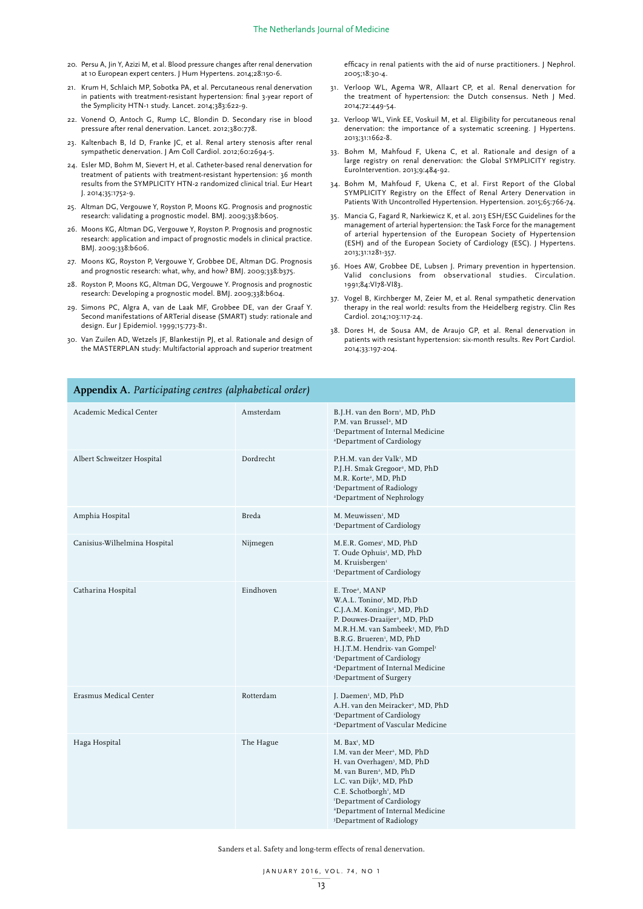- 20. Persu A, Jin Y, Azizi M, et al. Blood pressure changes after renal denervation at 10 European expert centers. J Hum Hypertens. 2014;28:150-6.
- 21. Krum H, Schlaich MP, Sobotka PA, et al. Percutaneous renal denervation in patients with treatment-resistant hypertension: final 3-year report of the Symplicity HTN-1 study. Lancet. 2014;383:622-9.
- 22. Vonend O, Antoch G, Rump LC, Blondin D. Secondary rise in blood pressure after renal denervation. Lancet. 2012;380:778.
- 23. Kaltenbach B, Id D, Franke JC, et al. Renal artery stenosis after renal sympathetic denervation. J Am Coll Cardiol. 2012;60:2694-5.
- 24. Esler MD, Bohm M, Sievert H, et al. Catheter-based renal denervation for treatment of patients with treatment-resistant hypertension: 36 month results from the SYMPLICITY HTN-2 randomized clinical trial. Eur Heart J. 2014;35:1752-9.
- 25. Altman DG, Vergouwe Y, Royston P, Moons KG. Prognosis and prognostic research: validating a prognostic model. BMJ. 2009;338:b605.
- 26. Moons KG, Altman DG, Vergouwe Y, Royston P. Prognosis and prognostic research: application and impact of prognostic models in clinical practice. BMJ. 2009;338:b606.
- 27. Moons KG, Royston P, Vergouwe Y, Grobbee DE, Altman DG. Prognosis and prognostic research: what, why, and how? BMJ. 2009;338:b375.
- 28. Royston P, Moons KG, Altman DG, Vergouwe Y. Prognosis and prognostic research: Developing a prognostic model. BMJ. 2009;338:b604.
- 29. Simons PC, Algra A, van de Laak MF, Grobbee DE, van der Graaf Y. Second manifestations of ARTerial disease (SMART) study: rationale and design. Eur J Epidemiol. 1999;15:773-81.
- 30. Van Zuilen AD, Wetzels JF, Blankestijn PJ, et al. Rationale and design of the MASTERPLAN study: Multifactorial approach and superior treatment

**Appendix A.** *Participating centres (alphabetical order)*

Academic Medical Center **Amsterdam** 

Albert Schweitzer Hospital Dordrecht

Amphia Hospital Breda M. Meuwissen<br>Breda M. Meuwissen<br>Breda M. Meuwissen

efficacy in renal patients with the aid of nurse practitioners. J Nephrol. 2005;18:30-4.

- 31. Verloop WL, Agema WR, Allaart CP, et al. Renal denervation for the treatment of hypertension: the Dutch consensus. Neth J Med. 2014;72:449-54.
- 32. Verloop WL, Vink EE, Voskuil M, et al. Eligibility for percutaneous renal denervation: the importance of a systematic screening. J Hypertens. 2013;31:1662-8.
- 33. Bohm M, Mahfoud F, Ukena C, et al. Rationale and design of a large registry on renal denervation: the Global SYMPLICITY registry. EuroIntervention. 2013;9:484-92.
- 34. Bohm M, Mahfoud F, Ukena C, et al. First Report of the Global SYMPLICITY Registry on the Effect of Renal Artery Denervation in Patients With Uncontrolled Hypertension. Hypertension. 2015;65:766-74.
- 35. Mancia G, Fagard R, Narkiewicz K, et al. 2013 ESH/ESC Guidelines for the management of arterial hypertension: the Task Force for the management of arterial hypertension of the European Society of Hypertension (ESH) and of the European Society of Cardiology (ESC). J Hypertens. 2013;31:1281-357.
- 36. Hoes AW, Grobbee DE, Lubsen J. Primary prevention in hypertension. Valid conclusions from observational studies. Circulation. 1991;84:VI78-VI83.
- 37. Vogel B, Kirchberger M, Zeier M, et al. Renal sympathetic denervation therapy in the real world: results from the Heidelberg registry. Clin Res Cardiol. 2014;103:117-24.
- 38. Dores H, de Sousa AM, de Araujo GP, et al. Renal denervation in patients with resistant hypertension: six-month results. Rev Port Cardiol. 2014;33:197-204.

B.J.H. van den Born<sup>1</sup>, MD, PhD P.M. van Brussel<sup>2</sup>, MD 1 Department of Internal Medicine 2 Department of Cardiology

 $P H M$  van der Valk<sup>1</sup> MD P.J.H. Smak Gregoor<sup>2</sup>, MD, PhD M.R. Korte<sup>2</sup>, MD, PhD 1 Department of Radiology 2 Department of Nephrology

M. Meuwissen<sup>1</sup>, MD 1 Department of Cardiology

| Canisius-Wilhelmina Hospital | Nijmegen  | M.E.R. Gomes <sup>1</sup> , MD, PhD<br>T. Oude Ophuis <sup>1</sup> , MD, PhD<br>M. Kruisbergen <sup>1</sup><br><sup>1</sup> Department of Cardiology                                                                                                                                                                                                                                                                            |
|------------------------------|-----------|---------------------------------------------------------------------------------------------------------------------------------------------------------------------------------------------------------------------------------------------------------------------------------------------------------------------------------------------------------------------------------------------------------------------------------|
| Catharina Hospital           | Eindhoven | E. Troe <sup>2</sup> , MANP<br>W.A.L. Tonino <sup>1</sup> , MD, PhD<br>C.J.A.M. Konings <sup>2</sup> , MD, PhD<br>P. Douwes-Draaijer <sup>2</sup> , MD, PhD<br>M.R.H.M. van Sambeek <sup>3</sup> , MD, PhD<br>B.R.G. Brueren <sup>1</sup> , MD, PhD<br>H.J.T.M. Hendrix- van Gompel <sup>1</sup><br><sup>1</sup> Department of Cardiology<br><sup>2</sup> Department of Internal Medicine<br><sup>3</sup> Department of Surgery |
| Erasmus Medical Center       | Rotterdam | J. Daemen <sup>1</sup> , MD, PhD<br>A.H. van den Meiracker <sup>2</sup> , MD, PhD<br><sup>1</sup> Department of Cardiology<br><sup>2</sup> Department of Vascular Medicine                                                                                                                                                                                                                                                      |
| Haga Hospital                | The Hague | M. Bax <sup>1</sup> , MD<br>I.M. van der Meer <sup>2</sup> , MD, PhD<br>H. van Overhagen <sup>3</sup> , MD, PhD<br>M. van Buren <sup>2</sup> , MD, PhD<br>L.C. van Dijk <sup>3</sup> , MD, PhD<br>C.E. Schotborgh <sup>1</sup> , MD<br>'Department of Cardiology<br><sup>2</sup> Department of Internal Medicine<br><sup>3</sup> Department of Radiology                                                                        |
|                              |           |                                                                                                                                                                                                                                                                                                                                                                                                                                 |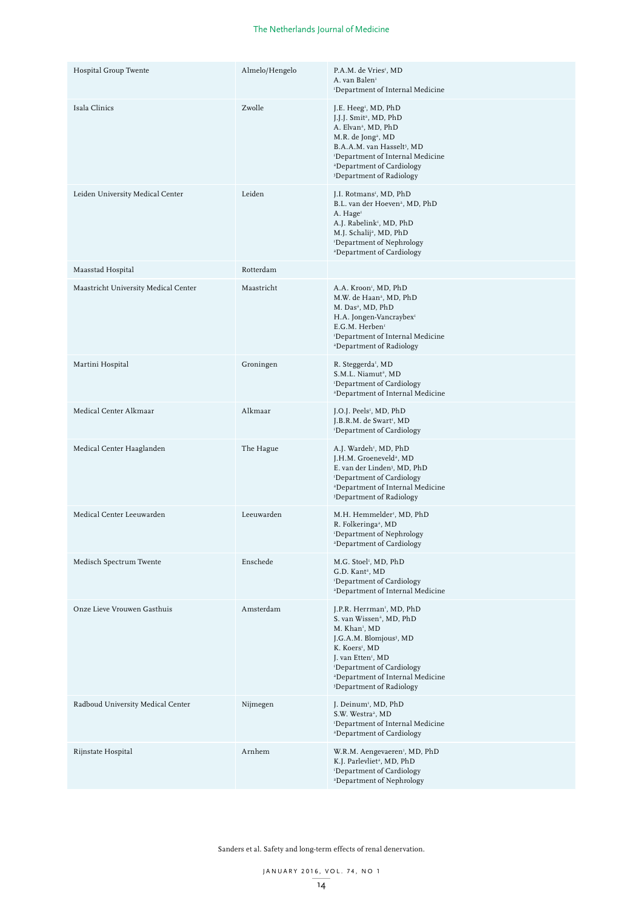# The Netherlands Journal of Medicine

| Hospital Group Twente                | Almelo/Hengelo | P.A.M. de Vries <sup>1</sup> , MD<br>A. van Balen <sup>1</sup><br><sup>1</sup> Department of Internal Medicine                                                                                                                                                                                                                                     |
|--------------------------------------|----------------|----------------------------------------------------------------------------------------------------------------------------------------------------------------------------------------------------------------------------------------------------------------------------------------------------------------------------------------------------|
| Isala Clinics                        | Zwolle         | J.E. Heeg <sup>1</sup> , MD, PhD<br>J.J.J. Smit <sup>2</sup> , MD, PhD<br>A. Elvan <sup>2</sup> , MD, PhD<br>M.R. de Jong <sup>2</sup> , MD<br>B.A.A.M. van Hasselt <sup>3</sup> , MD<br><sup>1</sup> Department of Internal Medicine<br><sup>2</sup> Department of Cardiology<br><sup>3</sup> Department of Radiology                             |
| Leiden University Medical Center     | Leiden         | J.I. Rotmans <sup>1</sup> , MD, PhD<br>B.L. van der Hoeven <sup>2</sup> , MD, PhD<br>A. Hage <sup>1</sup><br>A.J. Rabelink <sup>1</sup> , MD, PhD<br>M.J. Schalij <sup>2</sup> , MD, PhD<br>Department of Nephrology<br><sup>2</sup> Department of Cardiology                                                                                      |
| Maasstad Hospital                    | Rotterdam      |                                                                                                                                                                                                                                                                                                                                                    |
| Maastricht University Medical Center | Maastricht     | A.A. Kroon <sup>1</sup> , MD, PhD<br>M.W. de Haan <sup>2</sup> , MD, PhD<br>M. Das <sup>2</sup> , MD, PhD<br>H.A. Jongen-Vancraybex <sup>1</sup><br>E.G.M. Herben <sup>1</sup><br><sup>I</sup> Department of Internal Medicine<br><sup>2</sup> Department of Radiology                                                                             |
| Martini Hospital                     | Groningen      | R. Steggerda <sup>1</sup> , MD<br>S.M.L. Niamut <sup>2</sup> , MD<br><sup>1</sup> Department of Cardiology<br><sup>2</sup> Department of Internal Medicine                                                                                                                                                                                         |
| Medical Center Alkmaar               | Alkmaar        | J.O.J. Peels <sup>1</sup> , MD, PhD<br>J.B.R.M. de Swart <sup>1</sup> , MD<br><sup>1</sup> Department of Cardiology                                                                                                                                                                                                                                |
| Medical Center Haaglanden            | The Hague      | A.J. Wardeh <sup>1</sup> , MD, PhD<br>J.H.M. Groeneveld <sup>2</sup> , MD<br>E. van der Linden <sup>3</sup> , MD, PhD<br><sup>1</sup> Department of Cardiology<br><sup>2</sup> Department of Internal Medicine<br><sup>3</sup> Department of Radiology                                                                                             |
| Medical Center Leeuwarden            | Leeuwarden     | M.H. Hemmelder <sup>1</sup> , MD, PhD<br>R. Folkeringa <sup>2</sup> , MD<br>'Department of Nephrology<br><sup>2</sup> Department of Cardiology                                                                                                                                                                                                     |
| Medisch Spectrum Twente              | Enschede       | M.G. Stoel <sup>1</sup> , MD, PhD<br>G.D. Kant <sup>2</sup> , MD<br><sup>1</sup> Department of Cardiology<br><sup>2</sup> Department of Internal Medicine                                                                                                                                                                                          |
| Onze Lieve Vrouwen Gasthuis          | Amsterdam      | J.P.R. Herrman <sup>1</sup> , MD, PhD<br>S. van Wissen <sup>2</sup> , MD, PhD<br>M. Khan <sup>1</sup> , MD<br>J.G.A.M. Blomjous <sup>3</sup> , MD<br>K. Koers <sup>1</sup> , MD<br>J. van Etten <sup>1</sup> , MD<br><sup>1</sup> Department of Cardiology<br><sup>2</sup> Department of Internal Medicine<br><sup>3</sup> Department of Radiology |
| Radboud University Medical Center    | Nijmegen       | J. Deinum <sup>1</sup> , MD, PhD<br>S.W. Westra <sup>2</sup> , MD<br><sup>1</sup> Department of Internal Medicine<br><sup>2</sup> Department of Cardiology                                                                                                                                                                                         |
| Rijnstate Hospital                   | Arnhem         | W.R.M. Aengevaeren <sup>1</sup> , MD, PhD<br>K.J. Parlevliet <sup>2</sup> , MD, PhD<br><sup>1</sup> Department of Cardiology<br><sup>2</sup> Department of Nephrology                                                                                                                                                                              |